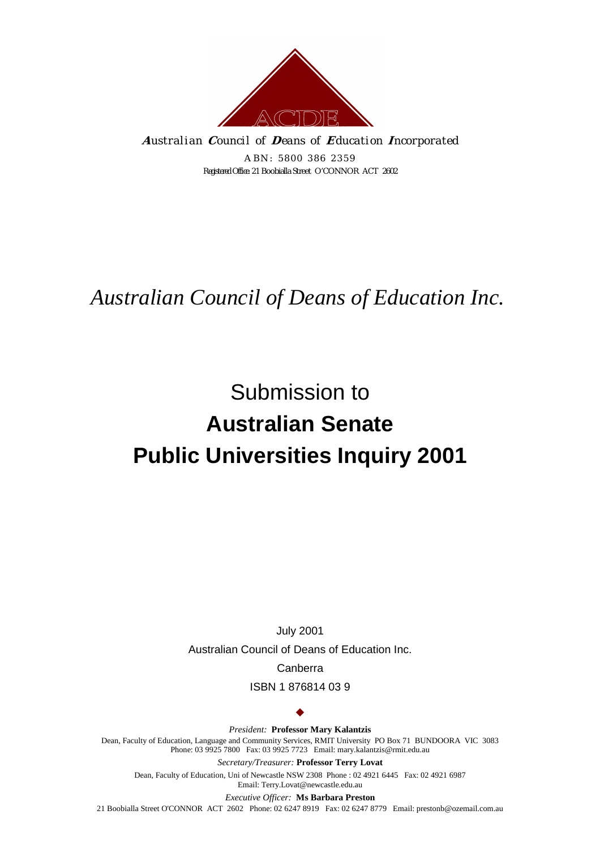

**A** *ustralian* **C** *ouncil of* **D** *eans of* **E** *ducation* **I** *ncorporated* 

*ABN: 5800 386 2359 Registered Office:* 21 Boobialla Street O'CONNOR ACT 2602

# *Australian Council of Deans of Education Inc.*

# Submission to **Australian Senate Public Universities Inquiry 2001**

July 2001 Australian Council of Deans of Education Inc. Canberra

ISBN 1 876814 03 9

 $\bullet$ 

*President:* **Professor Mary Kalantzis** Dean, Faculty of Education, Language and Community Services, RMIT University PO Box 71 BUNDOORA VIC 3083 Phone: 03 9925 7800 Fax: 03 9925 7723 Email: mary.kalantzis@rmit.edu.au

*Secretary/Treasurer:* **Professor Terry Lovat**  Dean, Faculty of Education, Uni of Newcastle NSW 2308 Phone : 02 4921 6445 Fax: 02 4921 6987 Email: Terry.Lovat@newcastle.edu.au

*Executive Officer:* **Ms Barbara Preston**

21 Boobialla Street O'CONNOR ACT 2602 Phone: 02 6247 8919 Fax: 02 6247 8779 Email: prestonb@ozemail.com.au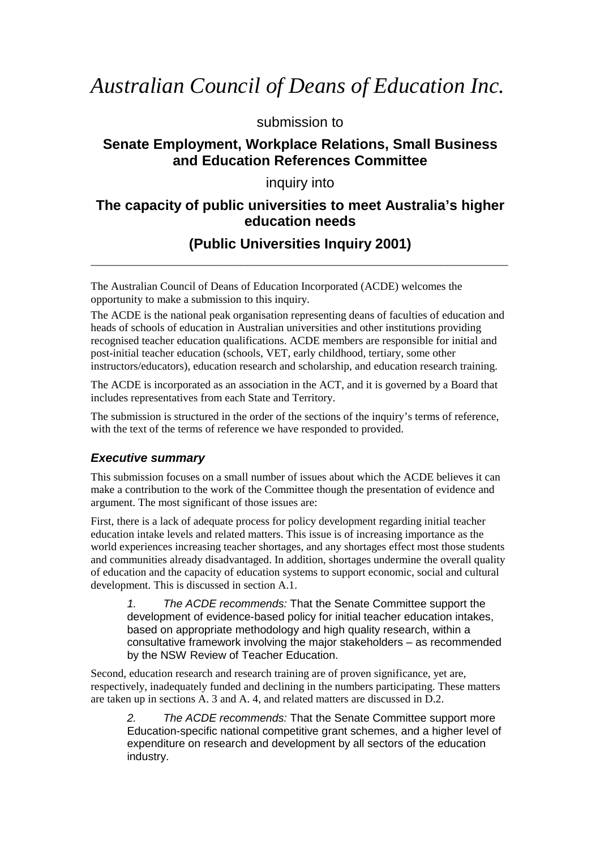# *Australian Council of Deans of Education Inc.*

submission to

# **Senate Employment, Workplace Relations, Small Business and Education References Committee**

# inquiry into

# **The capacity of public universities to meet Australia's higher education needs**

# **(Public Universities Inquiry 2001)**  \_\_\_\_\_\_\_\_\_\_\_\_\_\_\_\_\_\_\_\_\_\_\_\_\_\_\_\_\_\_\_\_\_\_\_\_\_\_\_\_\_\_\_\_\_\_\_\_\_\_\_\_\_\_\_\_\_\_\_\_\_\_\_\_\_\_\_\_\_\_\_\_\_\_\_

The Australian Council of Deans of Education Incorporated (ACDE) welcomes the opportunity to make a submission to this inquiry.

The ACDE is the national peak organisation representing deans of faculties of education and heads of schools of education in Australian universities and other institutions providing recognised teacher education qualifications. ACDE members are responsible for initial and post-initial teacher education (schools, VET, early childhood, tertiary, some other instructors/educators), education research and scholarship, and education research training.

The ACDE is incorporated as an association in the ACT, and it is governed by a Board that includes representatives from each State and Territory.

The submission is structured in the order of the sections of the inquiry's terms of reference, with the text of the terms of reference we have responded to provided.

# *Executive summary*

This submission focuses on a small number of issues about which the ACDE believes it can make a contribution to the work of the Committee though the presentation of evidence and argument. The most significant of those issues are:

First, there is a lack of adequate process for policy development regarding initial teacher education intake levels and related matters. This issue is of increasing importance as the world experiences increasing teacher shortages, and any shortages effect most those students and communities already disadvantaged. In addition, shortages undermine the overall quality of education and the capacity of education systems to support economic, social and cultural development. This is discussed in section A.1.

*1. The ACDE recommends:* That the Senate Committee support the development of evidence-based policy for initial teacher education intakes, based on appropriate methodology and high quality research, within a consultative framework involving the major stakeholders – as recommended by the NSW Review of Teacher Education.

Second, education research and research training are of proven significance, yet are, respectively, inadequately funded and declining in the numbers participating. These matters are taken up in sections A. 3 and A. 4, and related matters are discussed in D.2.

*2. The ACDE recommends:* That the Senate Committee support more Education-specific national competitive grant schemes, and a higher level of expenditure on research and development by all sectors of the education industry.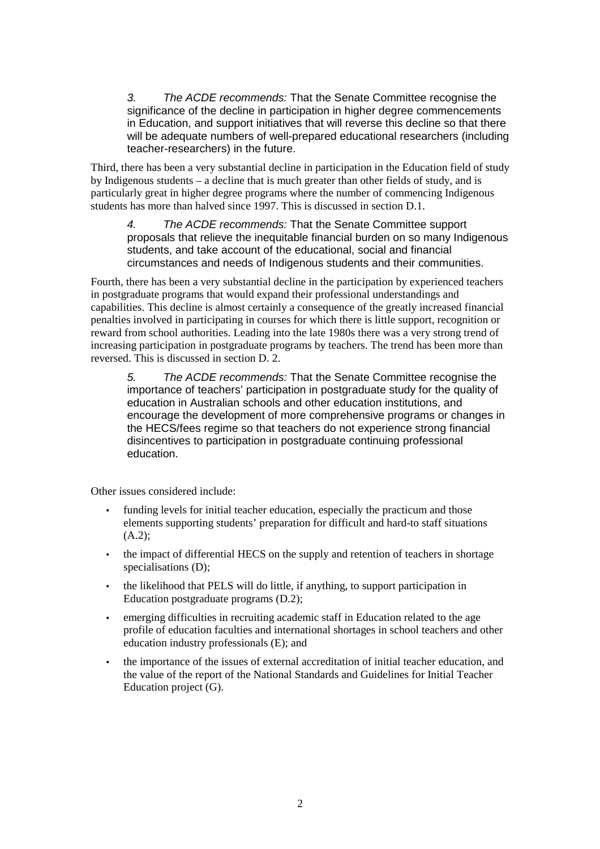*3. The ACDE recommends:* That the Senate Committee recognise the significance of the decline in participation in higher degree commencements in Education, and support initiatives that will reverse this decline so that there will be adequate numbers of well-prepared educational researchers (including teacher-researchers) in the future.

Third, there has been a very substantial decline in participation in the Education field of study by Indigenous students – a decline that is much greater than other fields of study, and is particularly great in higher degree programs where the number of commencing Indigenous students has more than halved since 1997. This is discussed in section D.1.

*4. The ACDE recommends:* That the Senate Committee support proposals that relieve the inequitable financial burden on so many Indigenous students, and take account of the educational, social and financial circumstances and needs of Indigenous students and their communities.

Fourth, there has been a very substantial decline in the participation by experienced teachers in postgraduate programs that would expand their professional understandings and capabilities. This decline is almost certainly a consequence of the greatly increased financial penalties involved in participating in courses for which there is little support, recognition or reward from school authorities. Leading into the late 1980s there was a very strong trend of increasing participation in postgraduate programs by teachers. The trend has been more than reversed. This is discussed in section D. 2.

*5. The ACDE recommends:* That the Senate Committee recognise the importance of teachers' participation in postgraduate study for the quality of education in Australian schools and other education institutions, and encourage the development of more comprehensive programs or changes in the HECS/fees regime so that teachers do not experience strong financial disincentives to participation in postgraduate continuing professional education.

Other issues considered include:

- funding levels for initial teacher education, especially the practicum and those elements supporting students' preparation for difficult and hard-to staff situations (A.2);
- the impact of differential HECS on the supply and retention of teachers in shortage specialisations (D);
- the likelihood that PELS will do little, if anything, to support participation in Education postgraduate programs (D.2);
- emerging difficulties in recruiting academic staff in Education related to the age profile of education faculties and international shortages in school teachers and other education industry professionals (E); and
- the importance of the issues of external accreditation of initial teacher education, and the value of the report of the National Standards and Guidelines for Initial Teacher Education project (G).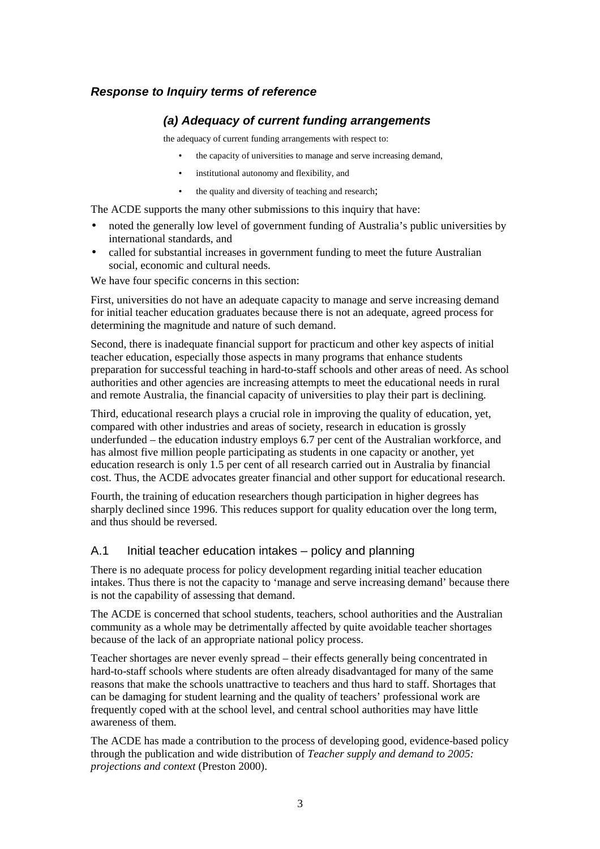#### *Response to Inquiry terms of reference*

#### *(a) Adequacy of current funding arrangements*

the adequacy of current funding arrangements with respect to:

- the capacity of universities to manage and serve increasing demand,
- institutional autonomy and flexibility, and
- the quality and diversity of teaching and research;

The ACDE supports the many other submissions to this inquiry that have:

- noted the generally low level of government funding of Australia's public universities by international standards, and
- called for substantial increases in government funding to meet the future Australian social, economic and cultural needs.

We have four specific concerns in this section:

First, universities do not have an adequate capacity to manage and serve increasing demand for initial teacher education graduates because there is not an adequate, agreed process for determining the magnitude and nature of such demand.

Second, there is inadequate financial support for practicum and other key aspects of initial teacher education, especially those aspects in many programs that enhance students preparation for successful teaching in hard-to-staff schools and other areas of need. As school authorities and other agencies are increasing attempts to meet the educational needs in rural and remote Australia, the financial capacity of universities to play their part is declining.

Third, educational research plays a crucial role in improving the quality of education, yet, compared with other industries and areas of society, research in education is grossly underfunded – the education industry employs 6.7 per cent of the Australian workforce, and has almost five million people participating as students in one capacity or another, yet education research is only 1.5 per cent of all research carried out in Australia by financial cost. Thus, the ACDE advocates greater financial and other support for educational research.

Fourth, the training of education researchers though participation in higher degrees has sharply declined since 1996. This reduces support for quality education over the long term, and thus should be reversed.

#### A.1 Initial teacher education intakes – policy and planning

There is no adequate process for policy development regarding initial teacher education intakes. Thus there is not the capacity to 'manage and serve increasing demand' because there is not the capability of assessing that demand.

The ACDE is concerned that school students, teachers, school authorities and the Australian community as a whole may be detrimentally affected by quite avoidable teacher shortages because of the lack of an appropriate national policy process.

Teacher shortages are never evenly spread – their effects generally being concentrated in hard-to-staff schools where students are often already disadvantaged for many of the same reasons that make the schools unattractive to teachers and thus hard to staff. Shortages that can be damaging for student learning and the quality of teachers' professional work are frequently coped with at the school level, and central school authorities may have little awareness of them.

The ACDE has made a contribution to the process of developing good, evidence-based policy through the publication and wide distribution of *Teacher supply and demand to 2005: projections and context* (Preston 2000).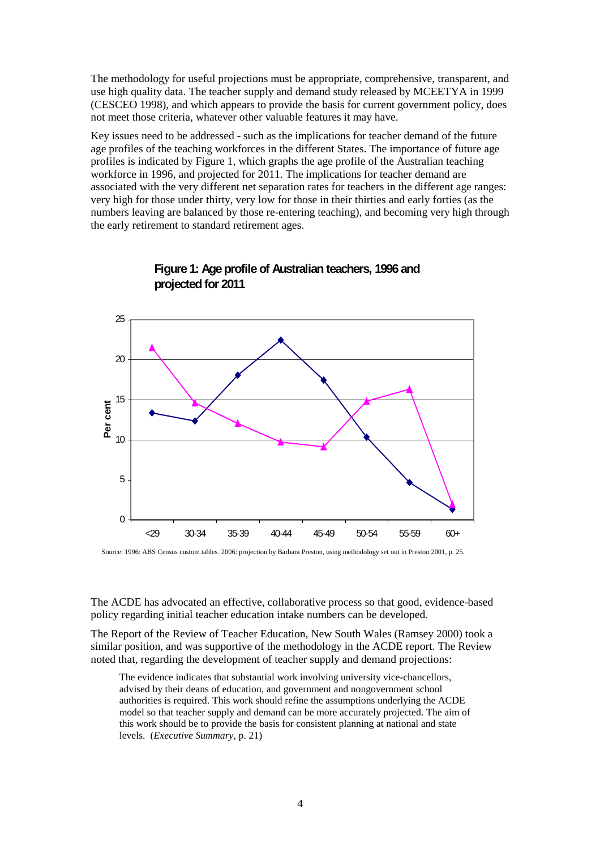The methodology for useful projections must be appropriate, comprehensive, transparent, and use high quality data. The teacher supply and demand study released by MCEETYA in 1999 (CESCEO 1998), and which appears to provide the basis for current government policy, does not meet those criteria, whatever other valuable features it may have.

Key issues need to be addressed - such as the implications for teacher demand of the future age profiles of the teaching workforces in the different States. The importance of future age profiles is indicated by Figure 1, which graphs the age profile of the Australian teaching workforce in 1996, and projected for 2011. The implications for teacher demand are associated with the very different net separation rates for teachers in the different age ranges: very high for those under thirty, very low for those in their thirties and early forties (as the numbers leaving are balanced by those re-entering teaching), and becoming very high through the early retirement to standard retirement ages.



# **Figure 1: Age profile of Australian teachers, 1996 and projected for 2011**

**Age range** Source: 1996: ABS Census custom tables. 2006: projection by Barbara Preston, using methodology set out in Preston 2001, p. 25.

The ACDE has advocated an effective, collaborative process so that good, evidence-based policy regarding initial teacher education intake numbers can be developed.

The Report of the Review of Teacher Education, New South Wales (Ramsey 2000) took a similar position, and was supportive of the methodology in the ACDE report. The Review noted that, regarding the development of teacher supply and demand projections:

The evidence indicates that substantial work involving university vice-chancellors, advised by their deans of education, and government and nongovernment school authorities is required. This work should refine the assumptions underlying the ACDE model so that teacher supply and demand can be more accurately projected. The aim of this work should be to provide the basis for consistent planning at national and state levels. (*Executive Summary*, p. 21)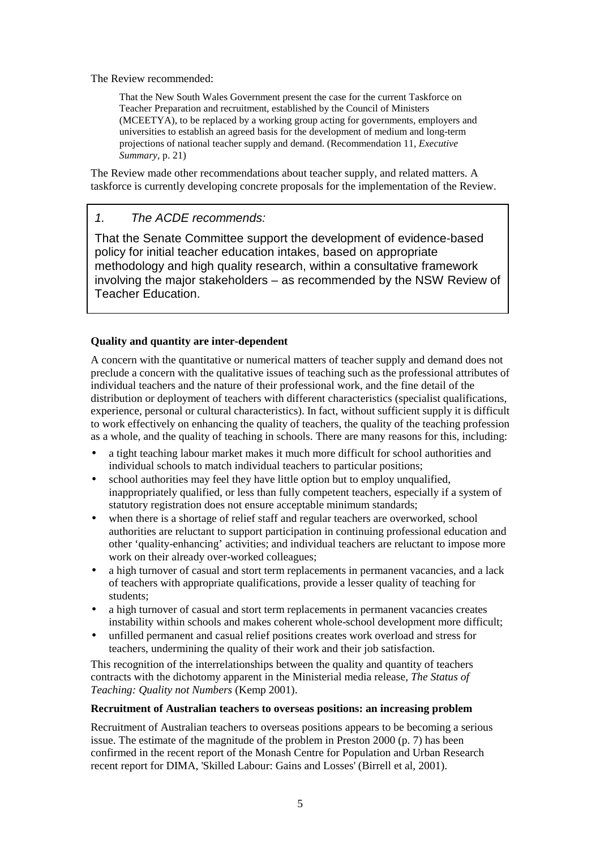The Review recommended:

That the New South Wales Government present the case for the current Taskforce on Teacher Preparation and recruitment, established by the Council of Ministers (MCEETYA), to be replaced by a working group acting for governments, employers and universities to establish an agreed basis for the development of medium and long-term projections of national teacher supply and demand. (Recommendation 11, *Executive Summary*, p. 21)

The Review made other recommendations about teacher supply, and related matters. A taskforce is currently developing concrete proposals for the implementation of the Review.

# *1. The ACDE recommends:*

That the Senate Committee support the development of evidence-based policy for initial teacher education intakes, based on appropriate methodology and high quality research, within a consultative framework involving the major stakeholders – as recommended by the NSW Review of Teacher Education.

#### **Quality and quantity are inter-dependent**

A concern with the quantitative or numerical matters of teacher supply and demand does not preclude a concern with the qualitative issues of teaching such as the professional attributes of individual teachers and the nature of their professional work, and the fine detail of the distribution or deployment of teachers with different characteristics (specialist qualifications, experience, personal or cultural characteristics). In fact, without sufficient supply it is difficult to work effectively on enhancing the quality of teachers, the quality of the teaching profession as a whole, and the quality of teaching in schools. There are many reasons for this, including:

- a tight teaching labour market makes it much more difficult for school authorities and individual schools to match individual teachers to particular positions;
- school authorities may feel they have little option but to employ unqualified, inappropriately qualified, or less than fully competent teachers, especially if a system of statutory registration does not ensure acceptable minimum standards;
- when there is a shortage of relief staff and regular teachers are overworked, school authorities are reluctant to support participation in continuing professional education and other 'quality-enhancing' activities; and individual teachers are reluctant to impose more work on their already over-worked colleagues;
- a high turnover of casual and stort term replacements in permanent vacancies, and a lack of teachers with appropriate qualifications, provide a lesser quality of teaching for students;
- a high turnover of casual and stort term replacements in permanent vacancies creates instability within schools and makes coherent whole-school development more difficult;
- unfilled permanent and casual relief positions creates work overload and stress for teachers, undermining the quality of their work and their job satisfaction.

This recognition of the interrelationships between the quality and quantity of teachers contracts with the dichotomy apparent in the Ministerial media release, *The Status of Teaching: Quality not Numbers* (Kemp 2001).

#### **Recruitment of Australian teachers to overseas positions: an increasing problem**

Recruitment of Australian teachers to overseas positions appears to be becoming a serious issue. The estimate of the magnitude of the problem in Preston 2000 (p. 7) has been confirmed in the recent report of the Monash Centre for Population and Urban Research recent report for DIMA, 'Skilled Labour: Gains and Losses' (Birrell et al, 2001).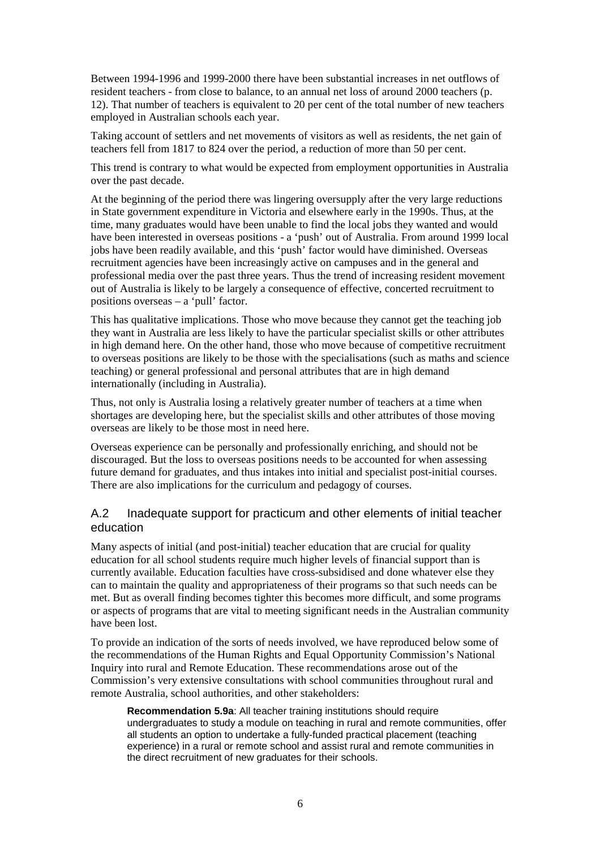Between 1994-1996 and 1999-2000 there have been substantial increases in net outflows of resident teachers - from close to balance, to an annual net loss of around 2000 teachers (p. 12). That number of teachers is equivalent to 20 per cent of the total number of new teachers employed in Australian schools each year.

Taking account of settlers and net movements of visitors as well as residents, the net gain of teachers fell from 1817 to 824 over the period, a reduction of more than 50 per cent.

This trend is contrary to what would be expected from employment opportunities in Australia over the past decade.

At the beginning of the period there was lingering oversupply after the very large reductions in State government expenditure in Victoria and elsewhere early in the 1990s. Thus, at the time, many graduates would have been unable to find the local jobs they wanted and would have been interested in overseas positions - a 'push' out of Australia. From around 1999 local jobs have been readily available, and this 'push' factor would have diminished. Overseas recruitment agencies have been increasingly active on campuses and in the general and professional media over the past three years. Thus the trend of increasing resident movement out of Australia is likely to be largely a consequence of effective, concerted recruitment to positions overseas – a 'pull' factor.

This has qualitative implications. Those who move because they cannot get the teaching job they want in Australia are less likely to have the particular specialist skills or other attributes in high demand here. On the other hand, those who move because of competitive recruitment to overseas positions are likely to be those with the specialisations (such as maths and science teaching) or general professional and personal attributes that are in high demand internationally (including in Australia).

Thus, not only is Australia losing a relatively greater number of teachers at a time when shortages are developing here, but the specialist skills and other attributes of those moving overseas are likely to be those most in need here.

Overseas experience can be personally and professionally enriching, and should not be discouraged. But the loss to overseas positions needs to be accounted for when assessing future demand for graduates, and thus intakes into initial and specialist post-initial courses. There are also implications for the curriculum and pedagogy of courses.

#### A.2 Inadequate support for practicum and other elements of initial teacher education

Many aspects of initial (and post-initial) teacher education that are crucial for quality education for all school students require much higher levels of financial support than is currently available. Education faculties have cross-subsidised and done whatever else they can to maintain the quality and appropriateness of their programs so that such needs can be met. But as overall finding becomes tighter this becomes more difficult, and some programs or aspects of programs that are vital to meeting significant needs in the Australian community have been lost.

To provide an indication of the sorts of needs involved, we have reproduced below some of the recommendations of the Human Rights and Equal Opportunity Commission's National Inquiry into rural and Remote Education. These recommendations arose out of the Commission's very extensive consultations with school communities throughout rural and remote Australia, school authorities, and other stakeholders:

**Recommendation 5.9a**: All teacher training institutions should require undergraduates to study a module on teaching in rural and remote communities, offer all students an option to undertake a fully-funded practical placement (teaching experience) in a rural or remote school and assist rural and remote communities in the direct recruitment of new graduates for their schools.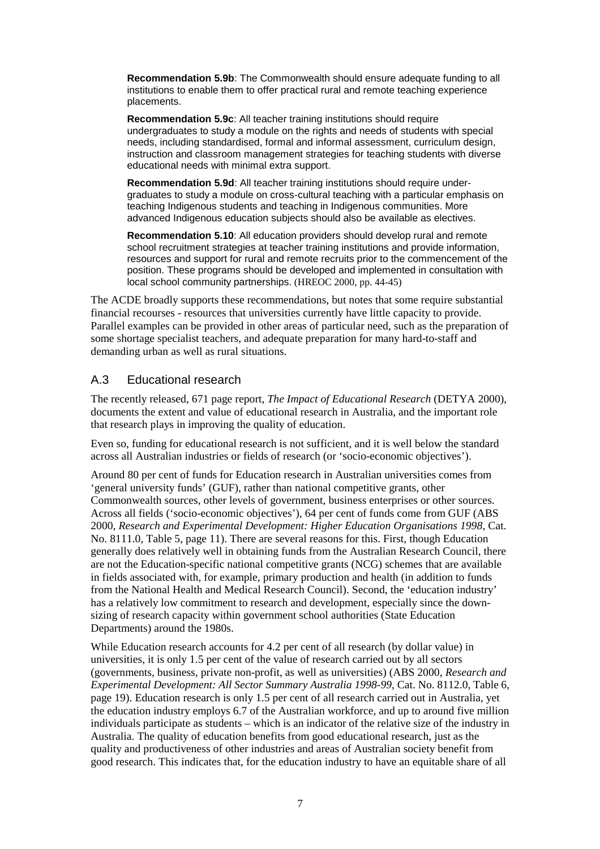**Recommendation 5.9b**: The Commonwealth should ensure adequate funding to all institutions to enable them to offer practical rural and remote teaching experience placements.

**Recommendation 5.9c**: All teacher training institutions should require undergraduates to study a module on the rights and needs of students with special needs, including standardised, formal and informal assessment, curriculum design, instruction and classroom management strategies for teaching students with diverse educational needs with minimal extra support.

**Recommendation 5.9d**: All teacher training institutions should require undergraduates to study a module on cross-cultural teaching with a particular emphasis on teaching Indigenous students and teaching in Indigenous communities. More advanced Indigenous education subjects should also be available as electives.

**Recommendation 5.10**: All education providers should develop rural and remote school recruitment strategies at teacher training institutions and provide information, resources and support for rural and remote recruits prior to the commencement of the position. These programs should be developed and implemented in consultation with local school community partnerships. (HREOC 2000, pp. 44-45)

The ACDE broadly supports these recommendations, but notes that some require substantial financial recourses - resources that universities currently have little capacity to provide. Parallel examples can be provided in other areas of particular need, such as the preparation of some shortage specialist teachers, and adequate preparation for many hard-to-staff and demanding urban as well as rural situations.

# A.3 Educational research

The recently released, 671 page report, *The Impact of Educational Research* (DETYA 2000), documents the extent and value of educational research in Australia, and the important role that research plays in improving the quality of education.

Even so, funding for educational research is not sufficient, and it is well below the standard across all Australian industries or fields of research (or 'socio-economic objectives').

Around 80 per cent of funds for Education research in Australian universities comes from 'general university funds' (GUF), rather than national competitive grants, other Commonwealth sources, other levels of government, business enterprises or other sources. Across all fields ('socio-economic objectives'), 64 per cent of funds come from GUF (ABS 2000, *Research and Experimental Development: Higher Education Organisations 1998*, Cat. No. 8111.0, Table 5, page 11). There are several reasons for this. First, though Education generally does relatively well in obtaining funds from the Australian Research Council, there are not the Education-specific national competitive grants (NCG) schemes that are available in fields associated with, for example, primary production and health (in addition to funds from the National Health and Medical Research Council). Second, the 'education industry' has a relatively low commitment to research and development, especially since the downsizing of research capacity within government school authorities (State Education Departments) around the 1980s.

While Education research accounts for 4.2 per cent of all research (by dollar value) in universities, it is only 1.5 per cent of the value of research carried out by all sectors (governments, business, private non-profit, as well as universities) (ABS 2000, *Research and Experimental Development: All Sector Summary Australia 1998-99*, Cat. No. 8112.0, Table 6, page 19). Education research is only 1.5 per cent of all research carried out in Australia, yet the education industry employs 6.7 of the Australian workforce, and up to around five million individuals participate as students – which is an indicator of the relative size of the industry in Australia. The quality of education benefits from good educational research, just as the quality and productiveness of other industries and areas of Australian society benefit from good research. This indicates that, for the education industry to have an equitable share of all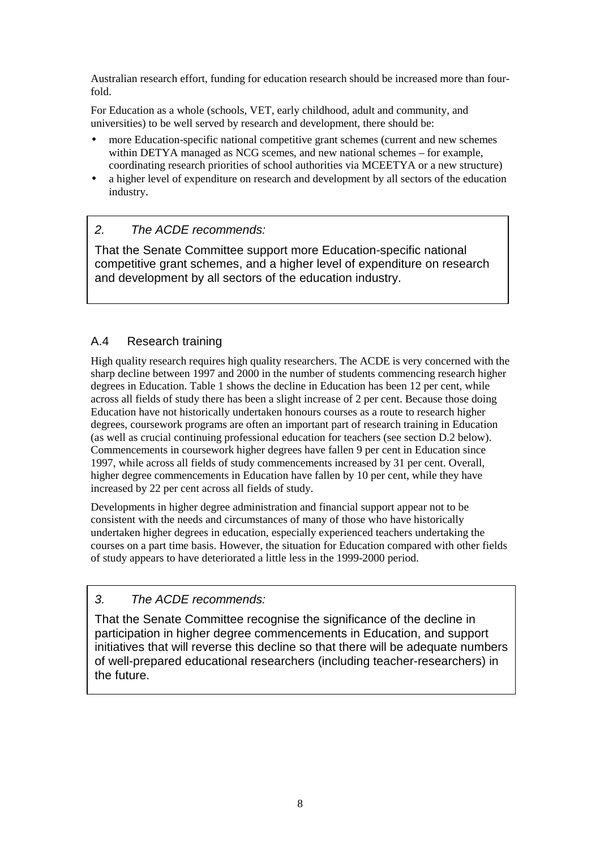Australian research effort, funding for education research should be increased more than fourfold.

For Education as a whole (schools, VET, early childhood, adult and community, and universities) to be well served by research and development, there should be:

- more Education-specific national competitive grant schemes (current and new schemes within DETYA managed as NCG scemes, and new national schemes – for example, coordinating research priorities of school authorities via MCEETYA or a new structure)
- a higher level of expenditure on research and development by all sectors of the education industry.

# *2. The ACDE recommends:*

That the Senate Committee support more Education-specific national competitive grant schemes, and a higher level of expenditure on research and development by all sectors of the education industry.

# A.4 Research training

High quality research requires high quality researchers. The ACDE is very concerned with the sharp decline between 1997 and 2000 in the number of students commencing research higher degrees in Education. Table 1 shows the decline in Education has been 12 per cent, while across all fields of study there has been a slight increase of 2 per cent. Because those doing Education have not historically undertaken honours courses as a route to research higher degrees, coursework programs are often an important part of research training in Education (as well as crucial continuing professional education for teachers (see section D.2 below). Commencements in coursework higher degrees have fallen 9 per cent in Education since 1997, while across all fields of study commencements increased by 31 per cent. Overall, higher degree commencements in Education have fallen by 10 per cent, while they have increased by 22 per cent across all fields of study.

Developments in higher degree administration and financial support appear not to be consistent with the needs and circumstances of many of those who have historically undertaken higher degrees in education, especially experienced teachers undertaking the courses on a part time basis. However, the situation for Education compared with other fields of study appears to have deteriorated a little less in the 1999-2000 period.

#### *3. The ACDE recommends:*

That the Senate Committee recognise the significance of the decline in participation in higher degree commencements in Education, and support initiatives that will reverse this decline so that there will be adequate numbers of well-prepared educational researchers (including teacher-researchers) in the future.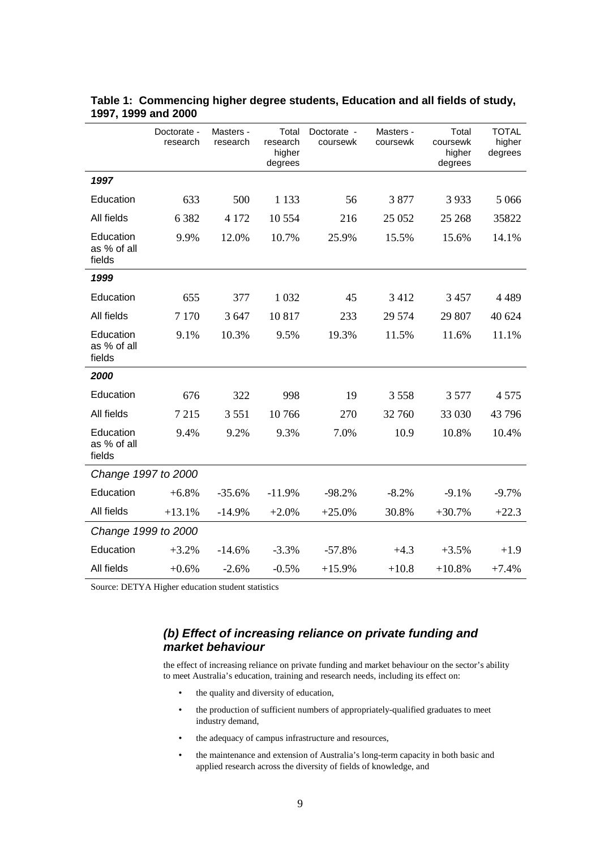|                                    | Doctorate -<br>research | Masters -<br>research | Total<br>research<br>higher<br>degrees | Doctorate -<br>coursewk | Masters -<br>coursewk | Total<br>coursewk<br>higher<br>degrees | <b>TOTAL</b><br>higher<br>degrees |
|------------------------------------|-------------------------|-----------------------|----------------------------------------|-------------------------|-----------------------|----------------------------------------|-----------------------------------|
| 1997                               |                         |                       |                                        |                         |                       |                                        |                                   |
| Education                          | 633                     | 500                   | 1 1 3 3                                | 56                      | 3877                  | 3933                                   | 5 0 6 6                           |
| All fields                         | 6 3 8 2                 | 4 1 7 2               | 10 554                                 | 216                     | 25 052                | 25 268                                 | 35822                             |
| Education<br>as % of all<br>fields | 9.9%                    | 12.0%                 | 10.7%                                  | 25.9%                   | 15.5%                 | 15.6%                                  | 14.1%                             |
| 1999                               |                         |                       |                                        |                         |                       |                                        |                                   |
| Education                          | 655                     | 377                   | 1 0 3 2                                | 45                      | 3 4 1 2               | 3 4 5 7                                | 4 4 8 9                           |
| All fields                         | 7 1 7 0                 | 3 647                 | 10817                                  | 233                     | 29 574                | 29 807                                 | 40 624                            |
| Education<br>as % of all<br>fields | 9.1%                    | 10.3%                 | 9.5%                                   | 19.3%                   | 11.5%                 | 11.6%                                  | 11.1%                             |
| 2000                               |                         |                       |                                        |                         |                       |                                        |                                   |
| Education                          | 676                     | 322                   | 998                                    | 19                      | 3558                  | 3577                                   | 4 5 7 5                           |
| All fields                         | 7 2 1 5                 | 3551                  | 10766                                  | 270                     | 32 760                | 33 030                                 | 43 796                            |
| Education<br>as % of all<br>fields | 9.4%                    | 9.2%                  | 9.3%                                   | 7.0%                    | 10.9                  | 10.8%                                  | 10.4%                             |
| Change 1997 to 2000                |                         |                       |                                        |                         |                       |                                        |                                   |
| Education                          | $+6.8%$                 | $-35.6%$              | $-11.9%$                               | $-98.2%$                | $-8.2%$               | $-9.1%$                                | $-9.7%$                           |
| All fields                         | $+13.1%$                | $-14.9%$              | $+2.0%$                                | $+25.0%$                | 30.8%                 | $+30.7%$                               | $+22.3$                           |
| Change 1999 to 2000                |                         |                       |                                        |                         |                       |                                        |                                   |
| Education                          | $+3.2%$                 | $-14.6%$              | $-3.3%$                                | $-57.8%$                | $+4.3$                | $+3.5%$                                | $+1.9$                            |
| All fields                         | $+0.6%$                 | $-2.6%$               | $-0.5%$                                | $+15.9%$                | $+10.8$               | $+10.8%$                               | $+7.4%$                           |

| Table 1: Commencing higher degree students, Education and all fields of study, |  |  |
|--------------------------------------------------------------------------------|--|--|
| 1997, 1999 and 2000                                                            |  |  |

Source: DETYA Higher education student statistics

#### *(b) Effect of increasing reliance on private funding and market behaviour*

the effect of increasing reliance on private funding and market behaviour on the sector's ability to meet Australia's education, training and research needs, including its effect on:

- the quality and diversity of education,
- the production of sufficient numbers of appropriately-qualified graduates to meet industry demand,
- the adequacy of campus infrastructure and resources,
- the maintenance and extension of Australia's long-term capacity in both basic and applied research across the diversity of fields of knowledge, and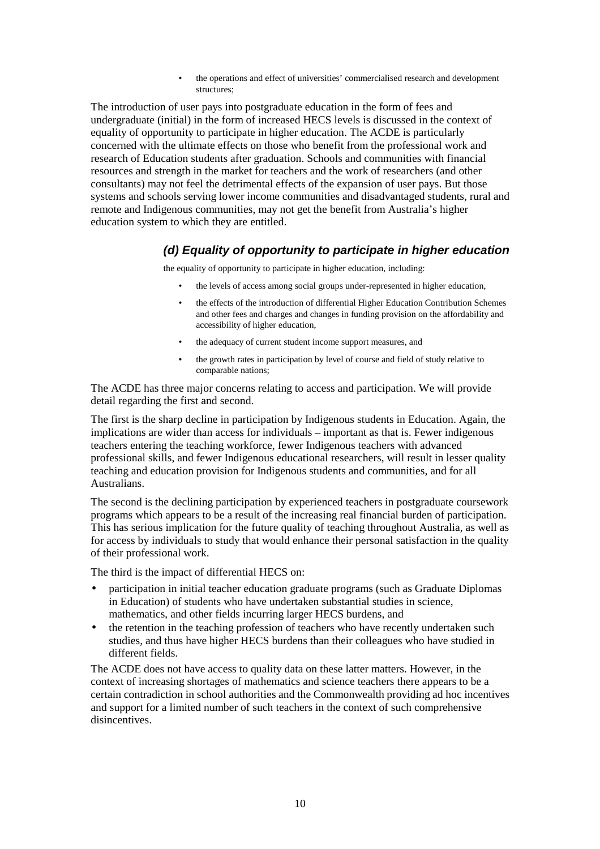the operations and effect of universities' commercialised research and development structures;

The introduction of user pays into postgraduate education in the form of fees and undergraduate (initial) in the form of increased HECS levels is discussed in the context of equality of opportunity to participate in higher education. The ACDE is particularly concerned with the ultimate effects on those who benefit from the professional work and research of Education students after graduation. Schools and communities with financial resources and strength in the market for teachers and the work of researchers (and other consultants) may not feel the detrimental effects of the expansion of user pays. But those systems and schools serving lower income communities and disadvantaged students, rural and remote and Indigenous communities, may not get the benefit from Australia's higher education system to which they are entitled.

#### *(d) Equality of opportunity to participate in higher education*

the equality of opportunity to participate in higher education, including:

- the levels of access among social groups under-represented in higher education,
- the effects of the introduction of differential Higher Education Contribution Schemes and other fees and charges and changes in funding provision on the affordability and accessibility of higher education,
- the adequacy of current student income support measures, and
- the growth rates in participation by level of course and field of study relative to comparable nations;

The ACDE has three major concerns relating to access and participation. We will provide detail regarding the first and second.

The first is the sharp decline in participation by Indigenous students in Education. Again, the implications are wider than access for individuals – important as that is. Fewer indigenous teachers entering the teaching workforce, fewer Indigenous teachers with advanced professional skills, and fewer Indigenous educational researchers, will result in lesser quality teaching and education provision for Indigenous students and communities, and for all Australians.

The second is the declining participation by experienced teachers in postgraduate coursework programs which appears to be a result of the increasing real financial burden of participation. This has serious implication for the future quality of teaching throughout Australia, as well as for access by individuals to study that would enhance their personal satisfaction in the quality of their professional work.

The third is the impact of differential HECS on:

- participation in initial teacher education graduate programs (such as Graduate Diplomas in Education) of students who have undertaken substantial studies in science, mathematics, and other fields incurring larger HECS burdens, and
- the retention in the teaching profession of teachers who have recently undertaken such studies, and thus have higher HECS burdens than their colleagues who have studied in different fields.

The ACDE does not have access to quality data on these latter matters. However, in the context of increasing shortages of mathematics and science teachers there appears to be a certain contradiction in school authorities and the Commonwealth providing ad hoc incentives and support for a limited number of such teachers in the context of such comprehensive disincentives.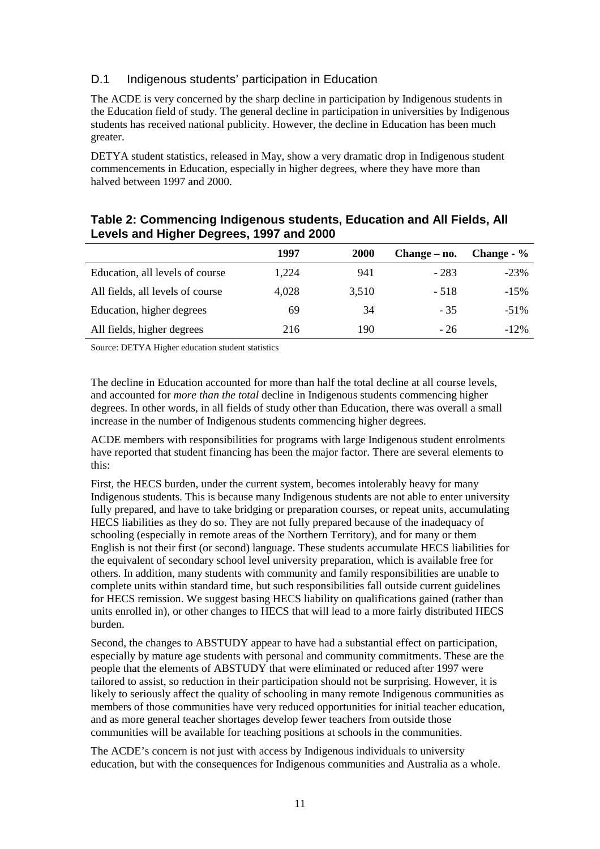# D.1 Indigenous students' participation in Education

The ACDE is very concerned by the sharp decline in participation by Indigenous students in the Education field of study. The general decline in participation in universities by Indigenous students has received national publicity. However, the decline in Education has been much greater.

DETYA student statistics, released in May, show a very dramatic drop in Indigenous student commencements in Education, especially in higher degrees, where they have more than halved between 1997 and 2000.

|                                  | 1997  | <b>2000</b> | Change – no. | Change - % |
|----------------------------------|-------|-------------|--------------|------------|
| Education, all levels of course  | 1,224 | 941         | $-283$       | $-23%$     |
| All fields, all levels of course | 4.028 | 3,510       | - 518        | $-15\%$    |
| Education, higher degrees        | 69    | 34          | $-35$        | $-51\%$    |
| All fields, higher degrees       | 216   | 190         | - 26         | $-12\%$    |

#### **Table 2: Commencing Indigenous students, Education and All Fields, All Levels and Higher Degrees, 1997 and 2000**

Source: DETYA Higher education student statistics

The decline in Education accounted for more than half the total decline at all course levels, and accounted for *more than the total* decline in Indigenous students commencing higher degrees. In other words, in all fields of study other than Education, there was overall a small increase in the number of Indigenous students commencing higher degrees.

ACDE members with responsibilities for programs with large Indigenous student enrolments have reported that student financing has been the major factor. There are several elements to this:

First, the HECS burden, under the current system, becomes intolerably heavy for many Indigenous students. This is because many Indigenous students are not able to enter university fully prepared, and have to take bridging or preparation courses, or repeat units, accumulating HECS liabilities as they do so. They are not fully prepared because of the inadequacy of schooling (especially in remote areas of the Northern Territory), and for many or them English is not their first (or second) language. These students accumulate HECS liabilities for the equivalent of secondary school level university preparation, which is available free for others. In addition, many students with community and family responsibilities are unable to complete units within standard time, but such responsibilities fall outside current guidelines for HECS remission. We suggest basing HECS liability on qualifications gained (rather than units enrolled in), or other changes to HECS that will lead to a more fairly distributed HECS burden.

Second, the changes to ABSTUDY appear to have had a substantial effect on participation, especially by mature age students with personal and community commitments. These are the people that the elements of ABSTUDY that were eliminated or reduced after 1997 were tailored to assist, so reduction in their participation should not be surprising. However, it is likely to seriously affect the quality of schooling in many remote Indigenous communities as members of those communities have very reduced opportunities for initial teacher education, and as more general teacher shortages develop fewer teachers from outside those communities will be available for teaching positions at schools in the communities.

The ACDE's concern is not just with access by Indigenous individuals to university education, but with the consequences for Indigenous communities and Australia as a whole.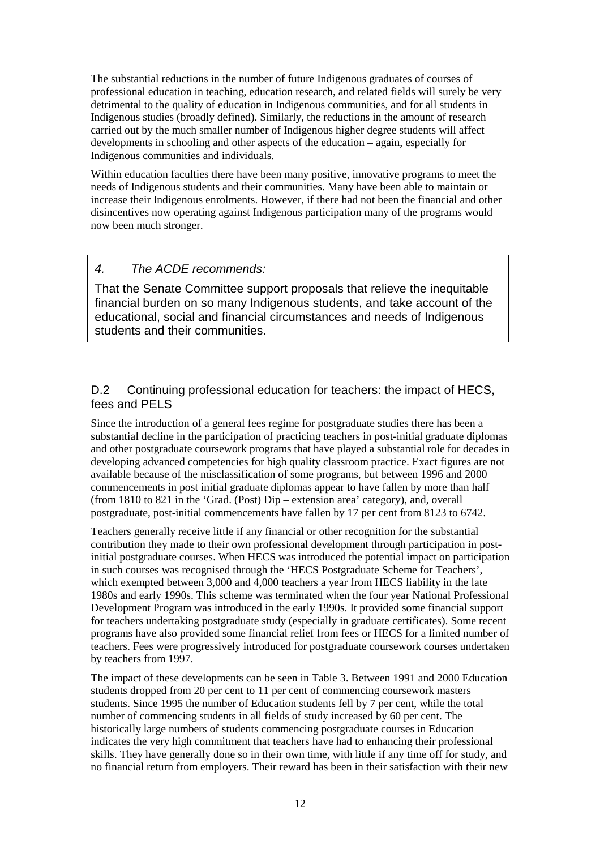The substantial reductions in the number of future Indigenous graduates of courses of professional education in teaching, education research, and related fields will surely be very detrimental to the quality of education in Indigenous communities, and for all students in Indigenous studies (broadly defined). Similarly, the reductions in the amount of research carried out by the much smaller number of Indigenous higher degree students will affect developments in schooling and other aspects of the education – again, especially for Indigenous communities and individuals.

Within education faculties there have been many positive, innovative programs to meet the needs of Indigenous students and their communities. Many have been able to maintain or increase their Indigenous enrolments. However, if there had not been the financial and other disincentives now operating against Indigenous participation many of the programs would now been much stronger.

# *4. The ACDE recommends:*

That the Senate Committee support proposals that relieve the inequitable financial burden on so many Indigenous students, and take account of the educational, social and financial circumstances and needs of Indigenous students and their communities.

#### D.2 Continuing professional education for teachers: the impact of HECS, fees and PELS

Since the introduction of a general fees regime for postgraduate studies there has been a substantial decline in the participation of practicing teachers in post-initial graduate diplomas and other postgraduate coursework programs that have played a substantial role for decades in developing advanced competencies for high quality classroom practice. Exact figures are not available because of the misclassification of some programs, but between 1996 and 2000 commencements in post initial graduate diplomas appear to have fallen by more than half (from 1810 to 821 in the 'Grad. (Post) Dip – extension area' category), and, overall postgraduate, post-initial commencements have fallen by 17 per cent from 8123 to 6742.

Teachers generally receive little if any financial or other recognition for the substantial contribution they made to their own professional development through participation in postinitial postgraduate courses. When HECS was introduced the potential impact on participation in such courses was recognised through the 'HECS Postgraduate Scheme for Teachers', which exempted between 3,000 and 4,000 teachers a year from HECS liability in the late 1980s and early 1990s. This scheme was terminated when the four year National Professional Development Program was introduced in the early 1990s. It provided some financial support for teachers undertaking postgraduate study (especially in graduate certificates). Some recent programs have also provided some financial relief from fees or HECS for a limited number of teachers. Fees were progressively introduced for postgraduate coursework courses undertaken by teachers from 1997.

The impact of these developments can be seen in Table 3. Between 1991 and 2000 Education students dropped from 20 per cent to 11 per cent of commencing coursework masters students. Since 1995 the number of Education students fell by 7 per cent, while the total number of commencing students in all fields of study increased by 60 per cent. The historically large numbers of students commencing postgraduate courses in Education indicates the very high commitment that teachers have had to enhancing their professional skills. They have generally done so in their own time, with little if any time off for study, and no financial return from employers. Their reward has been in their satisfaction with their new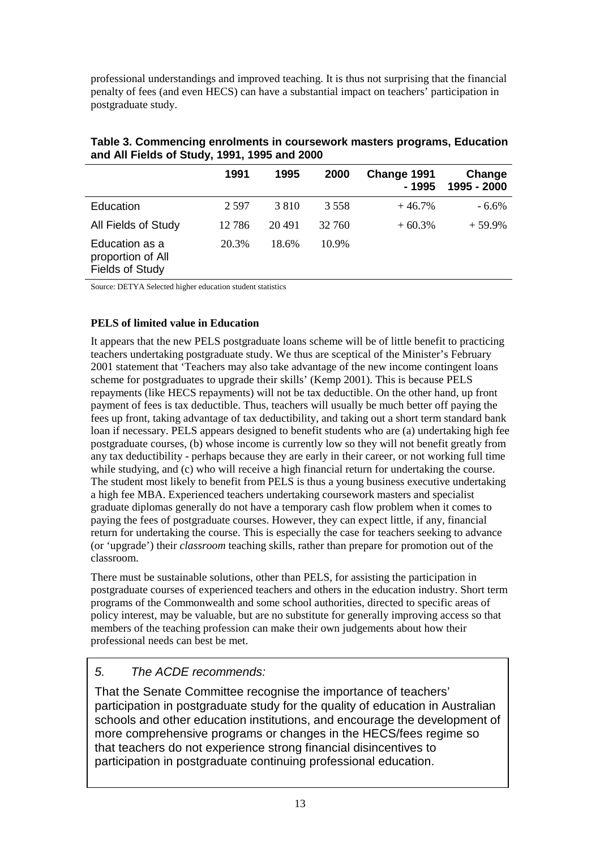professional understandings and improved teaching. It is thus not surprising that the financial penalty of fees (and even HECS) can have a substantial impact on teachers' participation in postgraduate study.

|                                                               | 1991  | 1995    | 2000    | Change 1991<br>- 1995 | Change<br>1995 - 2000 |
|---------------------------------------------------------------|-------|---------|---------|-----------------------|-----------------------|
| Education                                                     | 2.597 | 3 8 1 0 | 3 5 5 8 | $+46.7%$              | $-6.6\%$              |
| All Fields of Study                                           | 12786 | 20491   | 32 760  | $+60.3%$              | $+59.9\%$             |
| Education as a<br>proportion of All<br><b>Fields of Study</b> | 20.3% | 18.6%   | 10.9%   |                       |                       |

**Table 3. Commencing enrolments in coursework masters programs, Education and All Fields of Study, 1991, 1995 and 2000** 

Source: DETYA Selected higher education student statistics

#### **PELS of limited value in Education**

It appears that the new PELS postgraduate loans scheme will be of little benefit to practicing teachers undertaking postgraduate study. We thus are sceptical of the Minister's February 2001 statement that 'Teachers may also take advantage of the new income contingent loans scheme for postgraduates to upgrade their skills' (Kemp 2001). This is because PELS repayments (like HECS repayments) will not be tax deductible. On the other hand, up front payment of fees is tax deductible. Thus, teachers will usually be much better off paying the fees up front, taking advantage of tax deductibility, and taking out a short term standard bank loan if necessary. PELS appears designed to benefit students who are (a) undertaking high fee postgraduate courses, (b) whose income is currently low so they will not benefit greatly from any tax deductibility - perhaps because they are early in their career, or not working full time while studying, and (c) who will receive a high financial return for undertaking the course. The student most likely to benefit from PELS is thus a young business executive undertaking a high fee MBA. Experienced teachers undertaking coursework masters and specialist graduate diplomas generally do not have a temporary cash flow problem when it comes to paying the fees of postgraduate courses. However, they can expect little, if any, financial return for undertaking the course. This is especially the case for teachers seeking to advance (or 'upgrade') their *classroom* teaching skills, rather than prepare for promotion out of the classroom.

There must be sustainable solutions, other than PELS, for assisting the participation in postgraduate courses of experienced teachers and others in the education industry. Short term programs of the Commonwealth and some school authorities, directed to specific areas of policy interest, may be valuable, but are no substitute for generally improving access so that members of the teaching profession can make their own judgements about how their professional needs can best be met.

# *5. The ACDE recommends:*

That the Senate Committee recognise the importance of teachers' participation in postgraduate study for the quality of education in Australian schools and other education institutions, and encourage the development of more comprehensive programs or changes in the HECS/fees regime so that teachers do not experience strong financial disincentives to participation in postgraduate continuing professional education.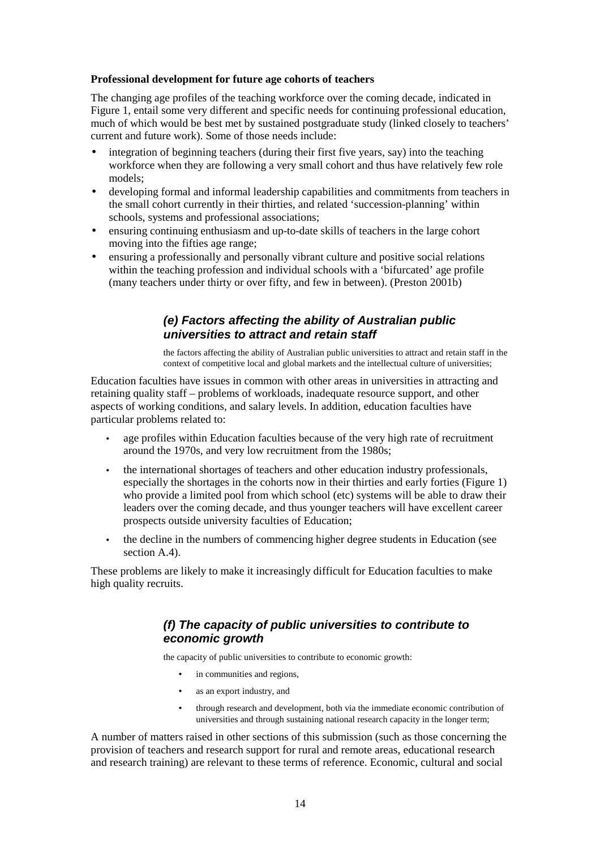#### **Professional development for future age cohorts of teachers**

The changing age profiles of the teaching workforce over the coming decade, indicated in Figure 1, entail some very different and specific needs for continuing professional education, much of which would be best met by sustained postgraduate study (linked closely to teachers' current and future work). Some of those needs include:

- integration of beginning teachers (during their first five years, say) into the teaching workforce when they are following a very small cohort and thus have relatively few role models;
- developing formal and informal leadership capabilities and commitments from teachers in the small cohort currently in their thirties, and related 'succession-planning' within schools, systems and professional associations;
- ensuring continuing enthusiasm and up-to-date skills of teachers in the large cohort moving into the fifties age range;
- ensuring a professionally and personally vibrant culture and positive social relations within the teaching profession and individual schools with a 'bifurcated' age profile (many teachers under thirty or over fifty, and few in between). (Preston 2001b)

#### *(e) Factors affecting the ability of Australian public universities to attract and retain staff*

the factors affecting the ability of Australian public universities to attract and retain staff in the context of competitive local and global markets and the intellectual culture of universities;

Education faculties have issues in common with other areas in universities in attracting and retaining quality staff – problems of workloads, inadequate resource support, and other aspects of working conditions, and salary levels. In addition, education faculties have particular problems related to:

- age profiles within Education faculties because of the very high rate of recruitment around the 1970s, and very low recruitment from the 1980s;
- the international shortages of teachers and other education industry professionals, especially the shortages in the cohorts now in their thirties and early forties (Figure 1) who provide a limited pool from which school (etc) systems will be able to draw their leaders over the coming decade, and thus younger teachers will have excellent career prospects outside university faculties of Education;
- the decline in the numbers of commencing higher degree students in Education (see section A.4).

These problems are likely to make it increasingly difficult for Education faculties to make high quality recruits.

#### *(f) The capacity of public universities to contribute to economic growth*

the capacity of public universities to contribute to economic growth:

- in communities and regions,
- as an export industry, and
- through research and development, both via the immediate economic contribution of universities and through sustaining national research capacity in the longer term;

A number of matters raised in other sections of this submission (such as those concerning the provision of teachers and research support for rural and remote areas, educational research and research training) are relevant to these terms of reference. Economic, cultural and social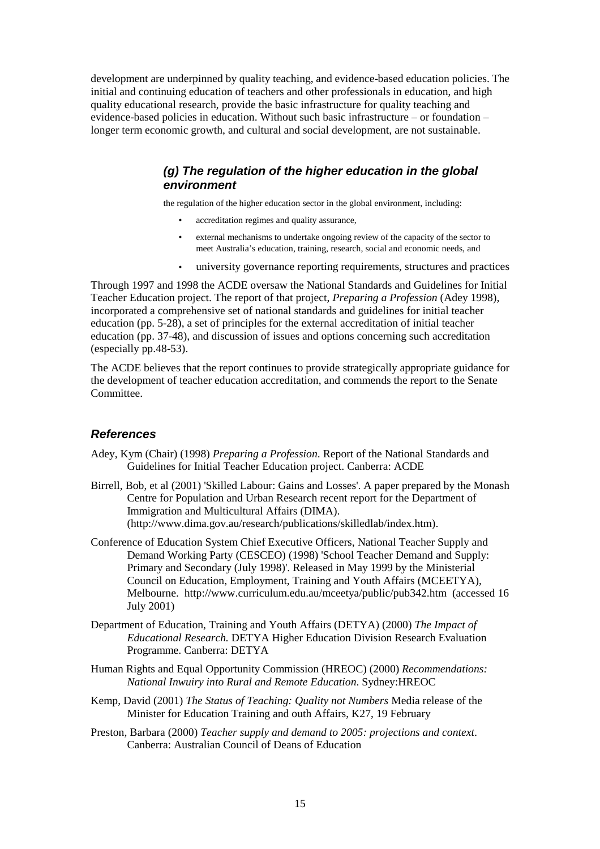development are underpinned by quality teaching, and evidence-based education policies. The initial and continuing education of teachers and other professionals in education, and high quality educational research, provide the basic infrastructure for quality teaching and evidence-based policies in education. Without such basic infrastructure – or foundation – longer term economic growth, and cultural and social development, are not sustainable.

#### *(g) The regulation of the higher education in the global environment*

the regulation of the higher education sector in the global environment, including:

- accreditation regimes and quality assurance,
- external mechanisms to undertake ongoing review of the capacity of the sector to meet Australia's education, training, research, social and economic needs, and
- university governance reporting requirements, structures and practices

Through 1997 and 1998 the ACDE oversaw the National Standards and Guidelines for Initial Teacher Education project. The report of that project, *Preparing a Profession* (Adey 1998), incorporated a comprehensive set of national standards and guidelines for initial teacher education (pp. 5-28), a set of principles for the external accreditation of initial teacher education (pp. 37-48), and discussion of issues and options concerning such accreditation (especially pp.48-53).

The ACDE believes that the report continues to provide strategically appropriate guidance for the development of teacher education accreditation, and commends the report to the Senate Committee.

#### *References*

- Adey, Kym (Chair) (1998) *Preparing a Profession*. Report of the National Standards and Guidelines for Initial Teacher Education project. Canberra: ACDE
- Birrell, Bob, et al (2001) 'Skilled Labour: Gains and Losses'. A paper prepared by the Monash Centre for Population and Urban Research recent report for the Department of Immigration and Multicultural Affairs (DIMA). (<http://www.dima.gov.au/research/publications/skilledlab/index.htm>).
- Conference of Education System Chief Executive Officers, National Teacher Supply and Demand Working Party (CESCEO) (1998) 'School Teacher Demand and Supply: Primary and Secondary (July 1998)'. Released in May 1999 by the Ministerial Council on Education, Employment, Training and Youth Affairs (MCEETYA), Melbourne. http://www.curriculum.edu.au/mceetya/public/pub342.htm (accessed 16 July 2001)
- Department of Education, Training and Youth Affairs (DETYA) (2000) *The Impact of Educational Research.* DETYA Higher Education Division Research Evaluation Programme. Canberra: DETYA
- Human Rights and Equal Opportunity Commission (HREOC) (2000) *Recommendations: National Inwuiry into Rural and Remote Education*. Sydney:HREOC
- Kemp, David (2001) *The Status of Teaching: Quality not Numbers* Media release of the Minister for Education Training and outh Affairs, K27, 19 February
- Preston, Barbara (2000) *Teacher supply and demand to 2005: projections and context*. Canberra: Australian Council of Deans of Education